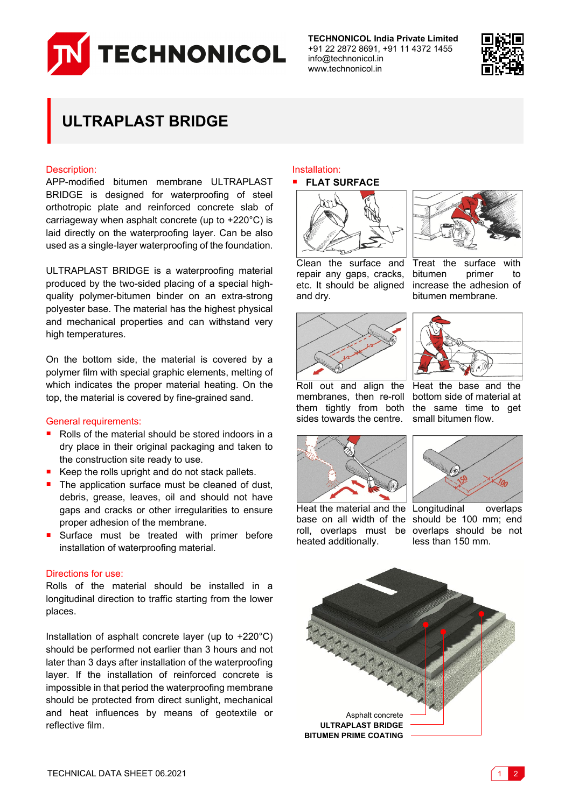

**TECHNONICOL India Private Limited** +91 22 2872 8691, +91 11 4372 1455 info@technonicol.in www.technonicol.in



# **ULTRAPLAST BRIDGE**

#### Description:

APP-modified bitumen membrane ULTRAPLAST BRIDGE is designed for waterproofing of steel orthotropic plate and reinforced concrete slab of carriageway when asphalt concrete (up to +220°C) is laid directly on the waterproofing layer. Can be also used as a single-layer waterproofing of the foundation.

ULTRAPLAST BRIDGE is a waterproofing material produced by the two-sided placing of a special highquality polymer-bitumen binder on an extra-strong polyester base. The material has the highest physical and mechanical properties and can withstand very high temperatures.

On the bottom side, the material is covered by a polymer film with special graphic elements, melting of which indicates the proper material heating. On the top, the material is covered by fine-grained sand.

#### General requirements:

- Rolls of the material should be stored indoors in a dry place in their original packaging and taken to the construction site ready to use.
- Keep the rolls upright and do not stack pallets.
- The application surface must be cleaned of dust, debris, grease, leaves, oil and should not have gaps and cracks or other irregularities to ensure proper adhesion of the membrane.
- Surface must be treated with primer before installation of waterproofing material.

## Directions for use:

Rolls of the material should be installed in a longitudinal direction to traffic starting from the lower places.

Installation of asphalt concrete layer (up to +220°C) should be performed not earlier than 3 hours and not later than 3 days after installation of the waterproofing layer. If the installation of reinforced concrete is impossible in that period the waterproofing membrane should be protected from direct sunlight, mechanical and heat influences by means of geotextile or reflective film.

#### Installation: **FLAT SURFACE**





Treat the surface with bitumen primer to increase the adhesion of bitumen membrane.

Clean the surface and repair any gaps, cracks, etc. It should be aligned and dry.



Roll out and align the Heat the base and the membranes, then re-roll bottom side of material at them tightly from both the same time to get sides towards the centre. small bitumen flow.







Heat the material and the Longitudinal overlaps base on all width of the should be 100 mm; end roll, overlaps must be overlaps should be not heated additionally.

less than 150 mm.